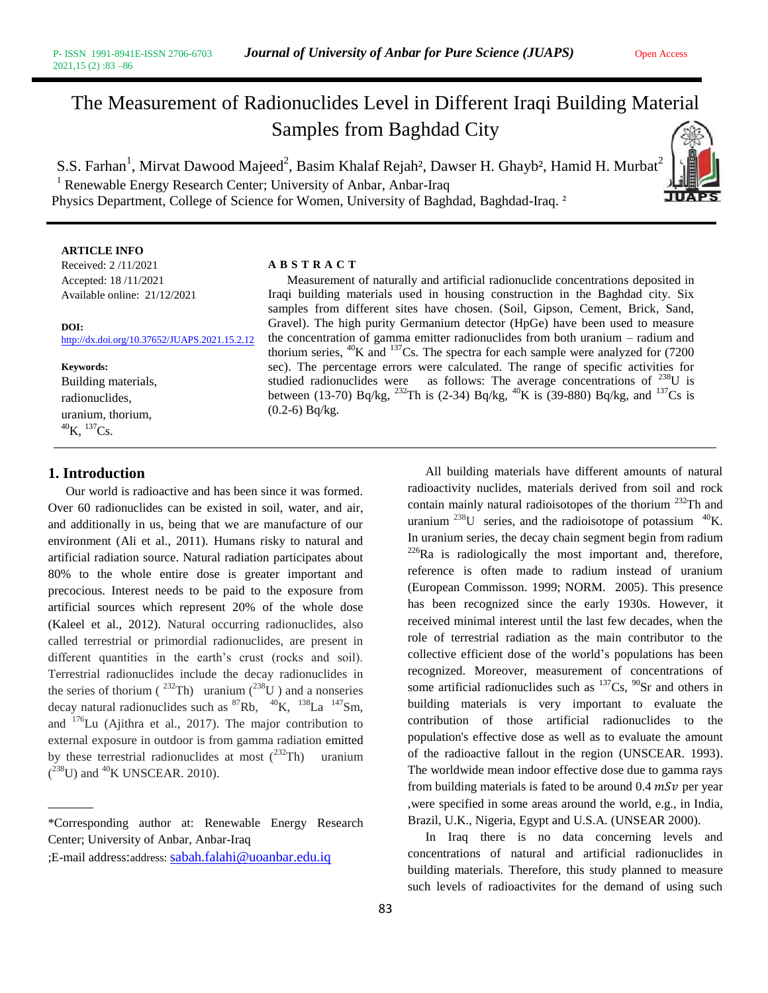# The Measurement of Radionuclides Level in Different Iraqi Building Material Samples from Baghdad City

S.S. Farhan<sup>1</sup>, Mirvat Dawood Majeed<sup>2</sup>, Basim Khalaf Rejah<sup>2</sup>, Dawser H. Ghayb<sup>2</sup>, Hamid H. Murbat<sup>2</sup> <sup>1</sup> Renewable Energy Research Center; University of Anbar, Anbar-Iraq Physics Department, College of Science for Women, University of Baghdad, Baghdad-Iraq.<sup>2</sup>



#### **ARTICLE INFO**

Received: 2 /11/2021 Accepted: 18 /11/2021 Available online: 21/12/2021

#### **DOI:**  <http://dx.doi.org/10.37652/JUAPS.2021.15.2.12>

**Keywords:** Building materials, radionuclides, uranium, thorium,  $^{40}$ K,  $^{137}$ Cs.

### **1. Introduction**

Our world is radioactive and has been since it was formed. Over 60 radionuclides can be existed in soil, water, and air, and additionally in us, being that we are manufacture of our environment (Ali et al., 2011). Humans risky to natural and artificial radiation source. Natural radiation participates about 80% to the whole entire dose is greater important and precocious. Interest needs to be paid to the exposure from artificial sources which represent 20% of the whole dose (Kaleel et al., 2012). Natural occurring radionuclides, also called terrestrial or primordial radionuclides, are present in different quantities in the earth's crust (rocks and soil). Terrestrial radionuclides include the decay radionuclides in the series of thorium ( $^{232}$ Th) uranium ( $^{238}$ U) and a nonseries decay natural radionuclides such as  ${}^{87}Rb$ ,  ${}^{40}K$ ,  ${}^{138}La$   ${}^{147}Sm$ , and <sup>176</sup>Lu (Ajithra et al., 2017). The major contribution to external exposure in outdoor is from gamma radiation emitted by these terrestrial radionuclides at most  $(^{232}Th)$  uranium  $(^{238}U)$  and <sup>40</sup>K UNSCEAR. 2010).

\*Corresponding author at: Renewable Energy Research Center; University of Anbar, Anbar-Iraq

#### **A B S T R A C T**

 Measurement of naturally and artificial radionuclide concentrations deposited in Iraqi building materials used in housing construction in the Baghdad city. Six samples from different sites have chosen. (Soil, Gipson, Cement, Brick, Sand, Gravel). The high purity Germanium detector (HpGe) have been used to measure the concentration of gamma emitter radionuclides from both uranium – radium and thorium series,  ${}^{40}$ K and  ${}^{137}$ Cs. The spectra for each sample were analyzed for (7200) sec). The percentage errors were calculated. The range of specific activities for studied radionuclides were as follows: The average concentrations of <sup>238</sup>U is between (13-70) Bq/kg, <sup>232</sup>Th is (2-34) Bq/kg, <sup>40</sup>K is (39-880) Bq/kg, and <sup>137</sup>Cs is (0.2-6) Bq/kg.

> All building materials have different amounts of natural radioactivity nuclides, materials derived from soil and rock contain mainly natural radioisotopes of the thorium <sup>232</sup>Th and uranium  $^{238}$ U series, and the radioisotope of potassium  $^{40}$ K. In uranium series, the decay chain segment begin from radium  $^{226}$ Ra is radiologically the most important and, therefore, reference is often made to radium instead of uranium (European Commisson. 1999; NORM. 2005). This presence has been recognized since the early 1930s. However, it received minimal interest until the last few decades, when the role of terrestrial radiation as the main contributor to the collective efficient dose of the world's populations has been recognized. Moreover, measurement of concentrations of some artificial radionuclides such as  $137Cs$ ,  $90Sr$  and others in building materials is very important to evaluate the contribution of those artificial radionuclides to the population's effective dose as well as to evaluate the amount of the radioactive fallout in the region (UNSCEAR. 1993). The worldwide mean indoor effective dose due to gamma rays from building materials is fated to be around  $0.4$   $mSv$  per year ,were specified in some areas around the world, e.g., in India, Brazil, U.K., Nigeria, Egypt and U.S.A. (UNSEAR 2000).

> In Iraq there is no data concerning levels and concentrations of natural and artificial radionuclides in building materials. Therefore, this study planned to measure such levels of radioactivites for the demand of using such

<sup>;</sup>E-mail address:address: [sabah.falahi@uoanbar.edu.iq](mailto:sabah.falahi@uoanbar.edu.iq)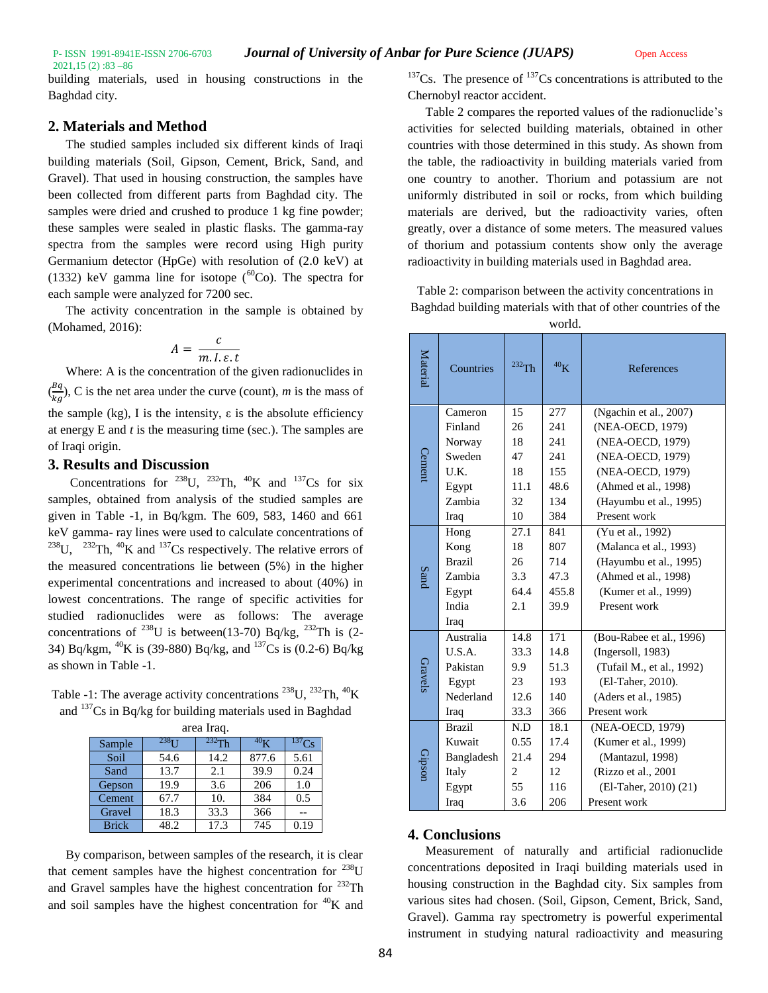2021,15 (2) :83 –86 building materials, used in housing constructions in the Baghdad city.

## **2. Materials and Method**

The studied samples included six different kinds of Iraqi building materials (Soil, Gipson, Cement, Brick, Sand, and Gravel). That used in housing construction, the samples have been collected from different parts from Baghdad city. The samples were dried and crushed to produce 1 kg fine powder; these samples were sealed in plastic flasks. The gamma-ray spectra from the samples were record using High purity Germanium detector (HpGe) with resolution of (2.0 keV) at (1332) keV gamma line for isotope  $(^{60}Co)$ . The spectra for each sample were analyzed for 7200 sec.

The activity concentration in the sample is obtained by (Mohamed, 2016):

$$
A = \frac{c}{m.I.\varepsilon.t}
$$

Where: A is the concentration of the given radionuclides in  $\left(\frac{Bq}{\cdot}\right)$  $\frac{bq}{kg}$ ), C is the net area under the curve (count), *m* is the mass of the sample (kg), I is the intensity,  $\varepsilon$  is the absolute efficiency at energy E and *t* is the measuring time (sec.). The samples are of Iraqi origin.

## **3. Results and Discussion**

Concentrations for <sup>238</sup>U, <sup>232</sup>Th, <sup>40</sup>K and <sup>137</sup>Cs for six samples, obtained from analysis of the studied samples are given in Table -1, in Bq/kgm. The 609, 583, 1460 and 661 keV gamma- ray lines were used to calculate concentrations of <sup>238</sup>U, <sup>232</sup>Th, <sup>40</sup>K and <sup>137</sup>Cs respectively. The relative errors of the measured concentrations lie between (5%) in the higher experimental concentrations and increased to about (40%) in lowest concentrations. The range of specific activities for studied radionuclides were as follows: The average concentrations of  $^{238}$ U is between(13-70) Bq/kg,  $^{232}$ Th is (2-34) Bq/kgm,  ${}^{40}$ K is (39-880) Bq/kg, and  ${}^{137}$ Cs is (0.2-6) Bq/kg as shown in Table -1.

Table -1: The average activity concentrations  $^{238}$ U,  $^{232}$ Th,  $^{40}$ K and <sup>137</sup>Cs in Bq/kg for building materials used in Baghdad

| area Iraq.   |                     |          |                 |      |  |  |  |
|--------------|---------------------|----------|-----------------|------|--|--|--|
| Sample       | $238$ <sub>II</sub> | $232$ Th | 40 <sub>K</sub> |      |  |  |  |
| Soil         | 54.6                | 14.2     | 877.6           | 5.61 |  |  |  |
| Sand         | 13.7                | 2.1      | 39.9            | 0.24 |  |  |  |
| Gepson       | 19.9                | 3.6      | 206             | 1.0  |  |  |  |
| Cement       | 67.7                | 10.      | 384             | 0.5  |  |  |  |
| Gravel       | 18.3                | 33.3     | 366             |      |  |  |  |
| <b>Brick</b> | 48.2                | 17.3     | 745             | 0.19 |  |  |  |

By comparison, between samples of the research, it is clear that cement samples have the highest concentration for  $^{238}$ U and Gravel samples have the highest concentration for  $^{232}$ Th and soil samples have the highest concentration for  ${}^{40}$ K and

 $137$ Cs. The presence of  $137$ Cs concentrations is attributed to the Chernobyl reactor accident.

Table 2 compares the reported values of the radionuclide's activities for selected building materials, obtained in other countries with those determined in this study. As shown from the table, the radioactivity in building materials varied from one country to another. Thorium and potassium are not uniformly distributed in soil or rocks, from which building materials are derived, but the radioactivity varies, often greatly, over a distance of some meters. The measured values of thorium and potassium contents show only the average radioactivity in building materials used in Baghdad area.

Table 2: comparison between the activity concentrations in Baghdad building materials with that of other countries of the world.

| Material      | Countries     | 232Th | 40 <sub>K</sub> | <b>References</b>         |
|---------------|---------------|-------|-----------------|---------------------------|
| <b>Cement</b> | Cameron       | 15    | 277             | (Ngachin et al., 2007)    |
|               | Finland       | 26    | 2.41            | (NEA-OECD, 1979)          |
|               | Norway        | 18    | 241             | (NEA-OECD, 1979)          |
|               | Sweden        | 47    | 241             | (NEA-OECD, 1979)          |
|               | U.K.          | 18    | 155             | (NEA-OECD, 1979)          |
|               | Egypt         | 11.1  | 48.6            | (Ahmed et al., 1998)      |
|               | Zambia        | 32    | 134             | (Hayumbu et al., 1995)    |
|               | Iraq          | 10    | 384             | Present work              |
| Sand          | Hong          | 27.1  | 841             | (Yu et al., 1992)         |
|               | Kong          | 18    | 807             | (Malanca et al., 1993)    |
|               | <b>Brazil</b> | 26    | 714             | (Hayumbu et al., 1995)    |
|               | Zambia        | 3.3   | 47.3            | (Ahmed et al., 1998)      |
|               | Egypt         | 64.4  | 455.8           | (Kumer et al., 1999)      |
|               | India         | 2.1   | 39.9            | Present work              |
|               | Iraq          |       |                 |                           |
| Gravels       | Australia     | 14.8  | 171             | (Bou-Rabee et al., 1996)  |
|               | U.S.A.        | 33.3  | 14.8            | (Ingersoll, 1983)         |
|               | Pakistan      | 9.9   | 51.3            | (Tufail M., et al., 1992) |
|               | Egypt         | 23    | 193             | (El-Taher, 2010).         |
|               | Nederland     | 12.6  | 140             | (Aders et al., 1985)      |
|               | Iraq          | 33.3  | 366             | Present work              |
| Gipson        | <b>Brazil</b> | N.D   | 18.1            | (NEA-OECD, 1979)          |
|               | Kuwait        | 0.55  | 17.4            | (Kumer et al., 1999)      |
|               | Bangladesh    | 21.4  | 294             | (Mantazul, 1998)          |
|               | Italy         | 2     | 12              | (Rizzo et al., 2001)      |
|               | Egypt         | 55    | 116             | (El-Taher, 2010) (21)     |
|               | Iraq          | 3.6   | 206             | Present work              |

# **4. Conclusions**

Measurement of naturally and artificial radionuclide concentrations deposited in Iraqi building materials used in housing construction in the Baghdad city. Six samples from various sites had chosen. (Soil, Gipson, Cement, Brick, Sand, Gravel). Gamma ray spectrometry is powerful experimental instrument in studying natural radioactivity and measuring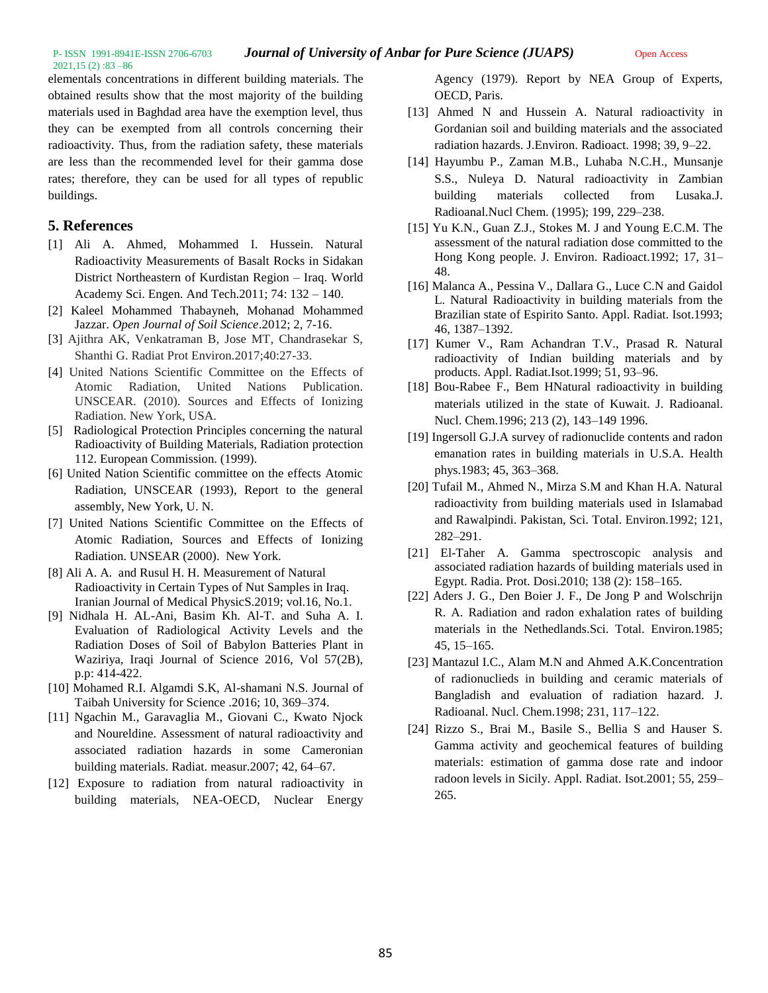2021,15 (2) :83 –86

elementals concentrations in different building materials. The obtained results show that the most majority of the building materials used in Baghdad area have the exemption level, thus they can be exempted from all controls concerning their radioactivity. Thus, from the radiation safety, these materials are less than the recommended level for their gamma dose rates; therefore, they can be used for all types of republic buildings.

## **5. References**

- [1] Ali A. Ahmed, Mohammed I. Hussein. Natural Radioactivity Measurements of Basalt Rocks in Sidakan District Northeastern of Kurdistan Region – Iraq. World Academy Sci. Engen. And Tech.2011; 74: 132 – 140.
- [2] Kaleel Mohammed Thabayneh, Mohanad Mohammed Jazzar. *Open Journal of Soil Science*.2012; 2, 7-16.
- [3] Ajithra AK, Venkatraman B, Jose MT, Chandrasekar S, Shanthi G. Radiat Prot Environ.2017;40:27-33.
- [4] United Nations Scientific Committee on the Effects of Atomic Radiation, United Nations Publication. UNSCEAR. (2010). Sources and Effects of Ionizing Radiation. New York, USA.
- [5] Radiological Protection Principles concerning the natural Radioactivity of Building Materials, Radiation protection 112. European Commission. (1999).
- [6] United Nation Scientific committee on the effects Atomic Radiation, UNSCEAR (1993), Report to the general assembly, New York, U. N.
- [7] United Nations Scientific Committee on the Effects of Atomic Radiation, Sources and Effects of Ionizing Radiation. UNSEAR (2000). New York.
- [8] Ali A. A. and Rusul H. H. Measurement of Natural Radioactivity in Certain Types of Nut Samples in Iraq. Iranian Journal of Medical PhysicS.2019; vol.16, No.1.
- [9] Nidhala H. AL-Ani, Basim Kh. Al-T. and Suha A. I. Evaluation of Radiological Activity Levels and the Radiation Doses of Soil of Babylon Batteries Plant in Waziriya, Iraqi Journal of Science 2016, Vol 57(2B), p.p: 414-422.
- [10] Mohamed R.I. Algamdi S.K, Al-shamani N.S. Journal of Taibah University for Science .2016; 10, 369–374.
- [11] Ngachin M., Garavaglia M., Giovani C., Kwato Njock and Noureldine. Assessment of natural radioactivity and associated radiation hazards in some Cameronian building materials. Radiat. measur.2007; 42, 64–67.
- [12] Exposure to radiation from natural radioactivity in building materials, NEA-OECD, Nuclear Energy

Agency (1979). Report by NEA Group of Experts, OECD, Paris.

- [13] Ahmed N and Hussein A. Natural radioactivity in Gordanian soil and building materials and the associated radiation hazards. J.Environ. Radioact. 1998; 39, 9–22.
- [14] Hayumbu P., Zaman M.B., Luhaba N.C.H., Munsanje S.S., Nuleya D. Natural radioactivity in Zambian building materials collected from Lusaka.J. Radioanal.Nucl Chem. (1995); 199, 229–238.
- [15] Yu K.N., Guan Z.J., Stokes M. J and Young E.C.M. The assessment of the natural radiation dose committed to the Hong Kong people. J. Environ. Radioact.1992; 17, 31– 48.
- [16] Malanca A., Pessina V., Dallara G., Luce C.N and Gaidol L. Natural Radioactivity in building materials from the Brazilian state of Espirito Santo. Appl. Radiat. Isot.1993; 46, 1387–1392.
- [17] Kumer V., Ram Achandran T.V., Prasad R. Natural radioactivity of Indian building materials and by products. Appl. Radiat.Isot.1999; 51, 93–96.
- [18] Bou-Rabee F., Bem HNatural radioactivity in building materials utilized in the state of Kuwait. J. Radioanal. Nucl. Chem.1996; 213 (2), 143–149 1996.
- [19] Ingersoll G.J.A survey of radionuclide contents and radon emanation rates in building materials in U.S.A. Health phys.1983; 45, 363–368.
- [20] Tufail M., Ahmed N., Mirza S.M and Khan H.A. Natural radioactivity from building materials used in Islamabad and Rawalpindi. Pakistan, Sci. Total. Environ.1992; 121, 282–291.
- [21] El-Taher A. Gamma spectroscopic analysis and associated radiation hazards of building materials used in Egypt. Radia. Prot. Dosi.2010; 138 (2): 158–165.
- [22] Aders J. G., Den Boier J. F., De Jong P and Wolschrijn R. A. Radiation and radon exhalation rates of building materials in the Nethedlands.Sci. Total. Environ.1985; 45, 15–165.
- [23] Mantazul I.C., Alam M.N and Ahmed A.K.Concentration of radionuclieds in building and ceramic materials of Bangladish and evaluation of radiation hazard. J. Radioanal. Nucl. Chem.1998; 231, 117–122.
- [24] Rizzo S., Brai M., Basile S., Bellia S and Hauser S. Gamma activity and geochemical features of building materials: estimation of gamma dose rate and indoor radoon levels in Sicily. Appl. Radiat. Isot.2001; 55, 259– 265.